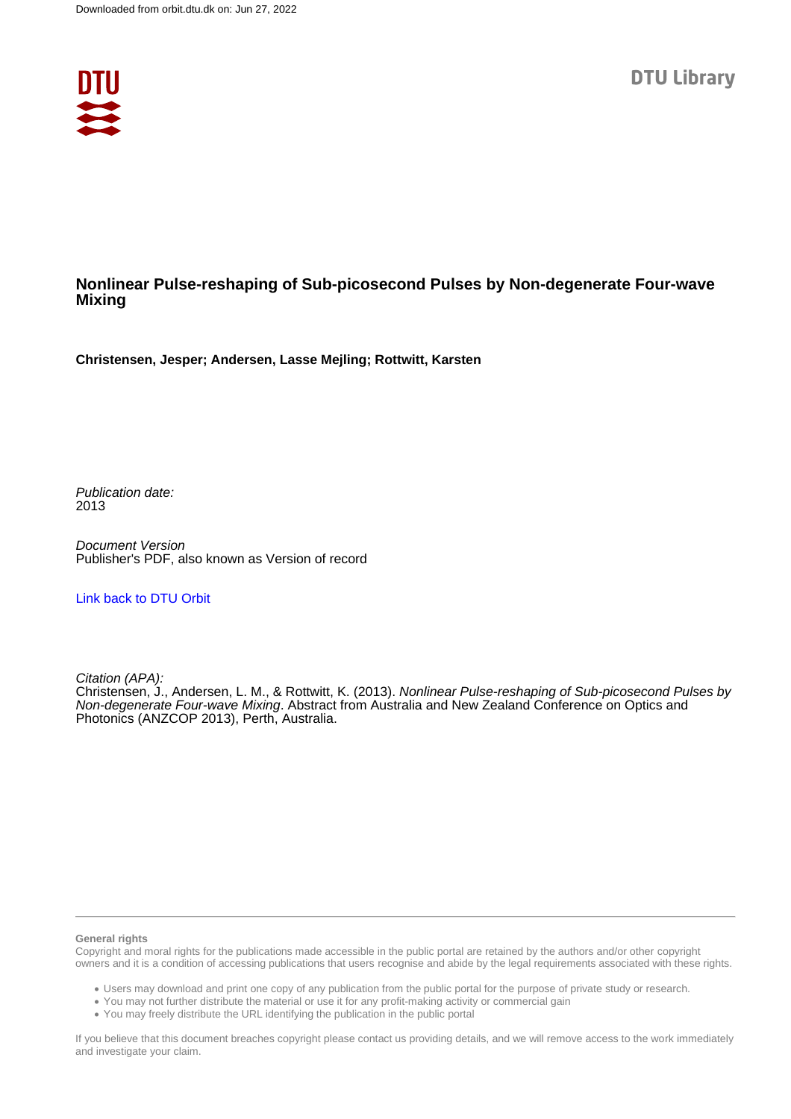

# **Nonlinear Pulse-reshaping of Sub-picosecond Pulses by Non-degenerate Four-wave Mixing**

**Christensen, Jesper; Andersen, Lasse Mejling; Rottwitt, Karsten**

Publication date: 2013

Document Version Publisher's PDF, also known as Version of record

# [Link back to DTU Orbit](https://orbit.dtu.dk/en/publications/b562efd8-9ce4-4fa3-b581-ecebe8ae68a0)

Citation (APA):

Christensen, J., Andersen, L. M., & Rottwitt, K. (2013). Nonlinear Pulse-reshaping of Sub-picosecond Pulses by Non-degenerate Four-wave Mixing. Abstract from Australia and New Zealand Conference on Optics and Photonics (ANZCOP 2013), Perth, Australia.

### **General rights**

Copyright and moral rights for the publications made accessible in the public portal are retained by the authors and/or other copyright owners and it is a condition of accessing publications that users recognise and abide by the legal requirements associated with these rights.

Users may download and print one copy of any publication from the public portal for the purpose of private study or research.

- You may not further distribute the material or use it for any profit-making activity or commercial gain
- You may freely distribute the URL identifying the publication in the public portal

If you believe that this document breaches copyright please contact us providing details, and we will remove access to the work immediately and investigate your claim.